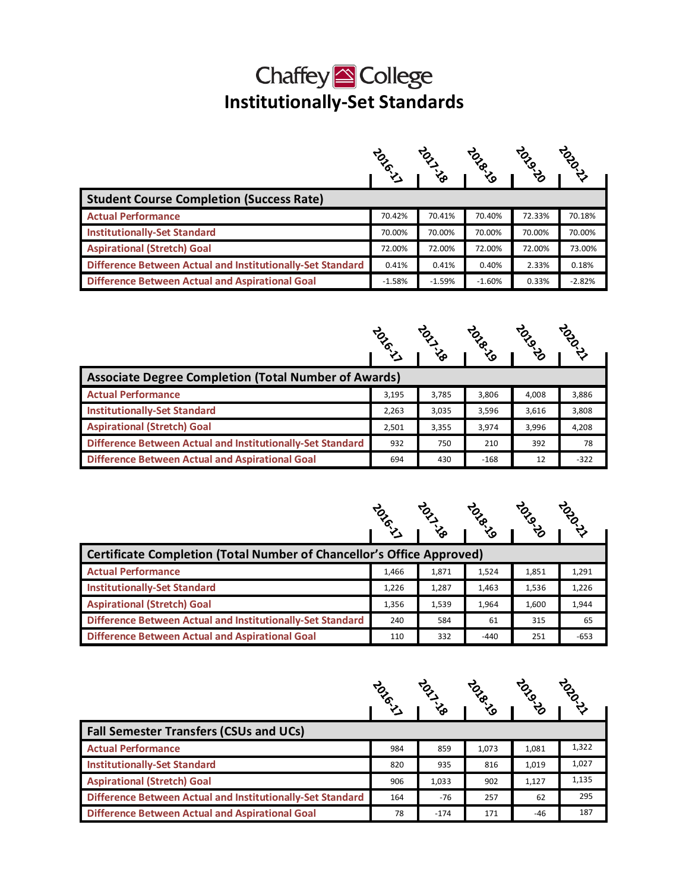## Chaffey<sup><sup>2</sup> College</sup> **Institutionally-Set Standards**

|                                                            | <b>POLIC</b> |          |          | <b>POSS</b> | <b>POL</b> |  |  |
|------------------------------------------------------------|--------------|----------|----------|-------------|------------|--|--|
|                                                            |              | جρ       | ی∕       | ಳ್ರ         |            |  |  |
| <b>Student Course Completion (Success Rate)</b>            |              |          |          |             |            |  |  |
| <b>Actual Performance</b>                                  | 70.42%       | 70.41%   | 70.40%   | 72.33%      | 70.18%     |  |  |
| <b>Institutionally-Set Standard</b>                        | 70.00%       | 70.00%   | 70.00%   | 70.00%      | 70.00%     |  |  |
| <b>Aspirational (Stretch) Goal</b>                         | 72.00%       | 72.00%   | 72.00%   | 72.00%      | 73.00%     |  |  |
| Difference Between Actual and Institutionally-Set Standard | 0.41%        | 0.41%    | 0.40%    | 2.33%       | 0.18%      |  |  |
| <b>Difference Between Actual and Aspirational Goal</b>     | $-1.58%$     | $-1.59%$ | $-1.60%$ | 0.33%       | $-2.82%$   |  |  |

|                                                             | <b>TONO</b> | ᡃᢅᡒ   | <b>TONB</b> | ৾৴ৣ   | <b>POLIC</b> |
|-------------------------------------------------------------|-------------|-------|-------------|-------|--------------|
| <b>Associate Degree Completion (Total Number of Awards)</b> |             |       |             |       |              |
|                                                             |             |       |             |       |              |
| <b>Actual Performance</b>                                   | 3,195       | 3,785 | 3,806       | 4,008 | 3,886        |
| <b>Institutionally-Set Standard</b>                         | 2,263       | 3,035 | 3,596       | 3,616 | 3,808        |
| <b>Aspirational (Stretch) Goal</b>                          | 2,501       | 3,355 | 3,974       | 3,996 | 4,208        |
| Difference Between Actual and Institutionally-Set Standard  | 932         | 750   | 210         | 392   | 78           |
| <b>Difference Between Actual and Aspirational Goal</b>      | 694         | 430   | $-168$      | 12    | $-322$       |

|                                                                              | <b>TONO</b> |       | <b>POST</b><br>ৡ | <b>POLIC</b> | <b>POLIC</b> |  |
|------------------------------------------------------------------------------|-------------|-------|------------------|--------------|--------------|--|
| <b>Certificate Completion (Total Number of Chancellor's Office Approved)</b> |             |       |                  |              |              |  |
| <b>Actual Performance</b>                                                    | 1,466       | 1,871 | 1,524            | 1,851        | 1,291        |  |
| <b>Institutionally-Set Standard</b>                                          | 1,226       | 1,287 | 1,463            | 1,536        | 1,226        |  |
| <b>Aspirational (Stretch) Goal</b>                                           | 1,356       | 1,539 | 1,964            | 1,600        | 1,944        |  |
| Difference Between Actual and Institutionally-Set Standard                   | 240         | 584   | 61               | 315          | 65           |  |
| <b>Difference Between Actual and Aspirational Goal</b>                       | 110         | 332   | $-440$           | 251          | $-653$       |  |

|                                                            | <b>TONO</b> |        | <b>PSP</b> | <b>POSS</b> | <b>POLIC</b> |  |
|------------------------------------------------------------|-------------|--------|------------|-------------|--------------|--|
|                                                            |             |        | ৡ          |             |              |  |
| <b>Fall Semester Transfers (CSUs and UCs)</b>              |             |        |            |             |              |  |
| <b>Actual Performance</b>                                  | 984         | 859    | 1,073      | 1,081       | 1,322        |  |
| <b>Institutionally-Set Standard</b>                        | 820         | 935    | 816        | 1,019       | 1,027        |  |
| <b>Aspirational (Stretch) Goal</b>                         | 906         | 1,033  | 902        | 1,127       | 1,135        |  |
| Difference Between Actual and Institutionally-Set Standard | 164         | $-76$  | 257        | 62          | 295          |  |
| <b>Difference Between Actual and Aspirational Goal</b>     | 78          | $-174$ | 171        | $-46$       | 187          |  |